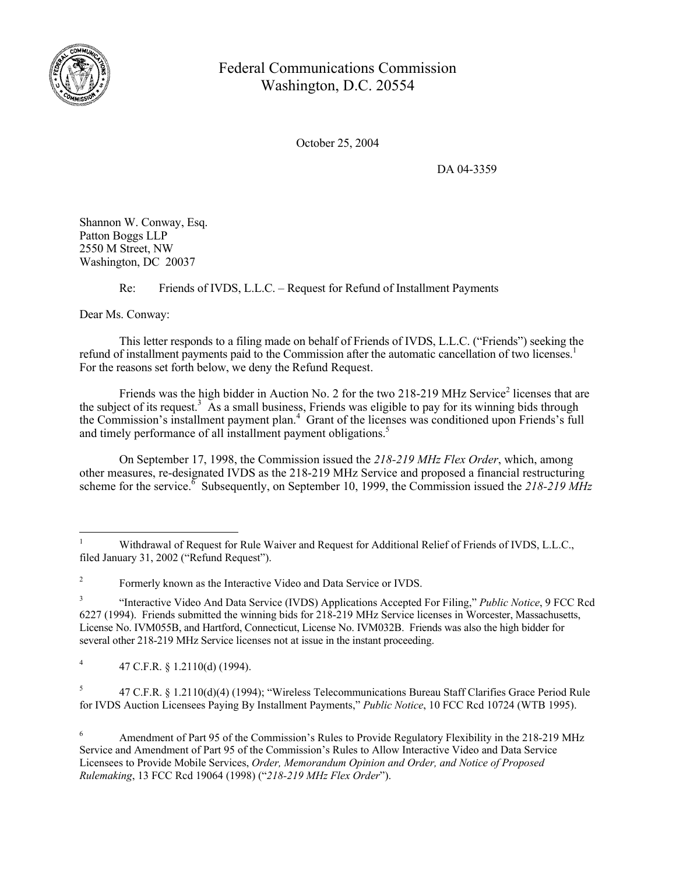

## Federal Communications Commission Washington, D.C. 20554

October 25, 2004

DA 04-3359

Shannon W. Conway, Esq. Patton Boggs LLP 2550 M Street, NW Washington, DC 20037

Re: Friends of IVDS, L.L.C. – Request for Refund of Installment Payments

Dear Ms. Conway:

 $\overline{a}$ 

This letter responds to a filing made on behalf of Friends of IVDS, L.L.C. ("Friends") seeking the refund of installment payments paid to the Commission after the automatic cancellation of two licenses.<sup>1</sup> For the reasons set forth below, we deny the Refund Request.

Friends was the high bidder in Auction No. 2 for the two 218-219 MHz Service<sup>2</sup> licenses that are the subject of its request.<sup>3</sup> As a small business, Friends was eligible to pay for its winning bids through the Commission's installment payment plan.<sup>4</sup> Grant of the licenses was conditioned upon Friends's full and timely performance of all installment payment obligations.<sup>5</sup>

On September 17, 1998, the Commission issued the *218-219 MHz Flex Order*, which, among other measures, re-designated IVDS as the 218-219 MHz Service and proposed a financial restructuring scheme for the service.<sup>8</sup> Subsequently, on September 10, 1999, the Commission issued the 218-219 MHz

<sup>1</sup> Withdrawal of Request for Rule Waiver and Request for Additional Relief of Friends of IVDS, L.L.C., filed January 31, 2002 ("Refund Request").

<sup>2</sup> Formerly known as the Interactive Video and Data Service or IVDS.

<sup>3</sup> "Interactive Video And Data Service (IVDS) Applications Accepted For Filing," *Public Notice*, 9 FCC Rcd 6227 (1994). Friends submitted the winning bids for 218-219 MHz Service licenses in Worcester, Massachusetts, License No. IVM055B, and Hartford, Connecticut, License No. IVM032B. Friends was also the high bidder for several other 218-219 MHz Service licenses not at issue in the instant proceeding.

<sup>4</sup> 47 C.F.R. § 1.2110(d) (1994).

<sup>5</sup> 47 C.F.R. § 1.2110(d)(4) (1994); "Wireless Telecommunications Bureau Staff Clarifies Grace Period Rule for IVDS Auction Licensees Paying By Installment Payments," *Public Notice*, 10 FCC Rcd 10724 (WTB 1995).

<sup>6</sup> Amendment of Part 95 of the Commission's Rules to Provide Regulatory Flexibility in the 218-219 MHz Service and Amendment of Part 95 of the Commission's Rules to Allow Interactive Video and Data Service Licensees to Provide Mobile Services, *Order, Memorandum Opinion and Order, and Notice of Proposed Rulemaking*, 13 FCC Rcd 19064 (1998) ("*218-219 MHz Flex Order*").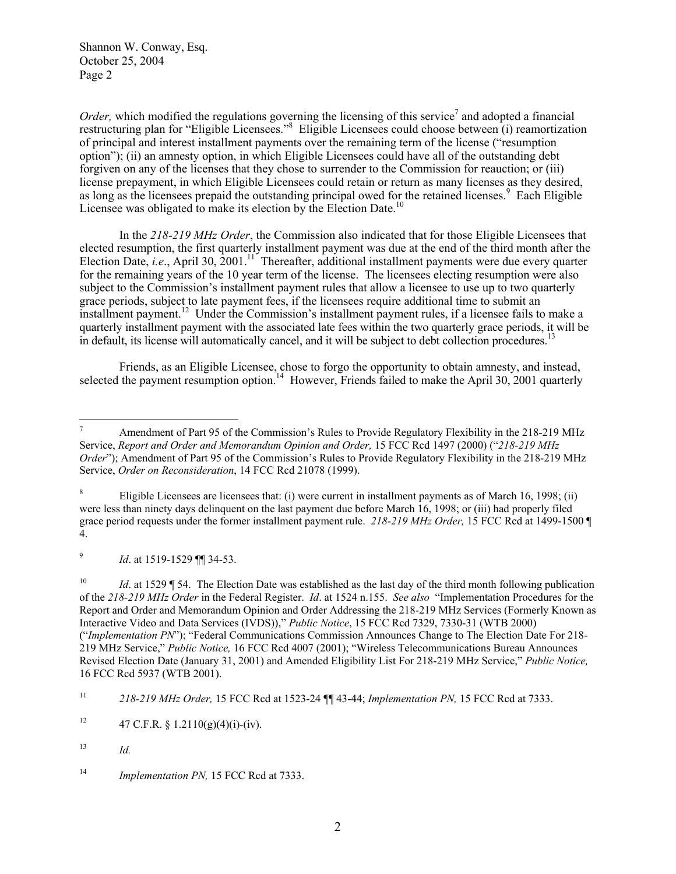Shannon W. Conway, Esq. October 25, 2004 Page 2

*Order*, which modified the regulations governing the licensing of this service<sup>7</sup> and adopted a financial restructuring plan for "Eligible Licensees."<sup>8</sup> Eligible Licensees could choose between (i) reamortization of principal and interest installment payments over the remaining term of the license ("resumption option"); (ii) an amnesty option, in which Eligible Licensees could have all of the outstanding debt forgiven on any of the licenses that they chose to surrender to the Commission for reauction; or (iii) license prepayment, in which Eligible Licensees could retain or return as many licenses as they desired, as long as the licensees prepaid the outstanding principal owed for the retained licenses.<sup>9</sup> Each Eligible Licensee was obligated to make its election by the Election Date.<sup>10</sup>

In the *218-219 MHz Order*, the Commission also indicated that for those Eligible Licensees that elected resumption, the first quarterly installment payment was due at the end of the third month after the Election Date, *i.e.*, April 30, 2001.<sup>11</sup> Thereafter, additional installment payments were due every quarter for the remaining years of the 10 year term of the license. The licensees electing resumption were also subject to the Commission's installment payment rules that allow a licensee to use up to two quarterly grace periods, subject to late payment fees, if the licensees require additional time to submit an installment payment.<sup>12</sup> Under the Commission's installment payment rules, if a licensee fails to make a quarterly installment payment with the associated late fees within the two quarterly grace periods, it will be in default, its license will automatically cancel, and it will be subject to debt collection procedures.<sup>13</sup>

Friends, as an Eligible Licensee, chose to forgo the opportunity to obtain amnesty, and instead, selected the payment resumption option.<sup>14</sup> However, Friends failed to make the April 30, 2001 quarterly

8 Eligible Licensees are licensees that: (i) were current in installment payments as of March 16, 1998; (ii) were less than ninety days delinquent on the last payment due before March 16, 1998; or (iii) had properly filed grace period requests under the former installment payment rule. *218-219 MHz Order,* 15 FCC Rcd at 1499-1500 ¶ 4.

9 *Id*. at 1519-1529 ¶¶ 34-53.

<sup>10</sup> *Id.* at 1529 ¶ 54. The Election Date was established as the last day of the third month following publication of the *218-219 MHz Order* in the Federal Register. *Id*. at 1524 n.155. *See also* "Implementation Procedures for the Report and Order and Memorandum Opinion and Order Addressing the 218-219 MHz Services (Formerly Known as Interactive Video and Data Services (IVDS))," *Public Notice*, 15 FCC Rcd 7329, 7330-31 (WTB 2000) ("*Implementation PN*"); "Federal Communications Commission Announces Change to The Election Date For 218- 219 MHz Service," *Public Notice,* 16 FCC Rcd 4007 (2001); "Wireless Telecommunications Bureau Announces Revised Election Date (January 31, 2001) and Amended Eligibility List For 218-219 MHz Service," *Public Notice,* 16 FCC Rcd 5937 (WTB 2001).

<sup>-&</sup>lt;br>7 Amendment of Part 95 of the Commission's Rules to Provide Regulatory Flexibility in the 218-219 MHz Service, *Report and Order and Memorandum Opinion and Order,* 15 FCC Rcd 1497 (2000) ("*218-219 MHz Order*"); Amendment of Part 95 of the Commission's Rules to Provide Regulatory Flexibility in the 218-219 MHz Service, *Order on Reconsideration*, 14 FCC Rcd 21078 (1999).

<sup>11</sup> *218-219 MHz Order,* 15 FCC Rcd at 1523-24 ¶¶ 43-44; *Implementation PN,* 15 FCC Rcd at 7333.

<sup>&</sup>lt;sup>12</sup> 47 C.F.R. § 1.2110(g)(4)(i)-(iv).

<sup>13</sup> *Id.* 

<sup>14</sup> *Implementation PN,* 15 FCC Rcd at 7333.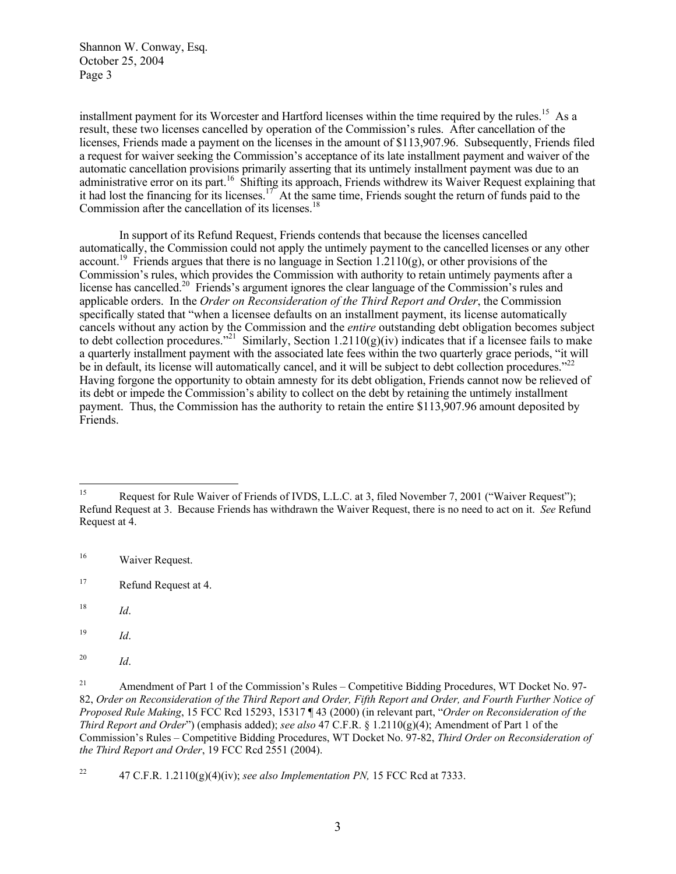Shannon W. Conway, Esq. October 25, 2004 Page 3

installment payment for its Worcester and Hartford licenses within the time required by the rules.<sup>15</sup> As a result, these two licenses cancelled by operation of the Commission's rules. After cancellation of the licenses. Friends made a payment on the licenses in the amount of \$113,907.96. Subsequently, Friends filed a request for waiver seeking the Commission's acceptance of its late installment payment and waiver of the automatic cancellation provisions primarily asserting that its untimely installment payment was due to an administrative error on its part.<sup>16</sup> Shifting its approach, Friends withdrew its Waiver Request explaining that it had lost the financing for its licenses.<sup>17</sup> At the same time, Friends sought the return of funds paid to the Commission after the cancellation of its licenses.<sup>18</sup>

In support of its Refund Request, Friends contends that because the licenses cancelled automatically, the Commission could not apply the untimely payment to the cancelled licenses or any other account.<sup>19</sup> Friends argues that there is no language in Section 1.2110(g), or other provisions of the Commission's rules, which provides the Commission with authority to retain untimely payments after a license has cancelled.<sup>20</sup> Friends's argument ignores the clear language of the Commission's rules and applicable orders. In the *Order on Reconsideration of the Third Report and Order*, the Commission specifically stated that "when a licensee defaults on an installment payment, its license automatically cancels without any action by the Commission and the *entire* outstanding debt obligation becomes subject to debt collection procedures."<sup>21</sup> Similarly, Section 1.2110(g)(iv) indicates that if a licensee fails to make a quarterly installment payment with the associated late fees within the two quarterly grace periods, "it will be in default, its license will automatically cancel, and it will be subject to debt collection procedures."<sup>22</sup> Having forgone the opportunity to obtain amnesty for its debt obligation, Friends cannot now be relieved of its debt or impede the Commission's ability to collect on the debt by retaining the untimely installment payment. Thus, the Commission has the authority to retain the entire \$113,907.96 amount deposited by Friends.

 $15\,$ 15 Request for Rule Waiver of Friends of IVDS, L.L.C. at 3, filed November 7, 2001 ("Waiver Request"); Refund Request at 3. Because Friends has withdrawn the Waiver Request, there is no need to act on it. *See* Refund Request at 4.

 $16\,$ Waiver Request.

<sup>&</sup>lt;sup>17</sup> Refund Request at 4.

<sup>18</sup> *Id*.

<sup>19</sup> 19 *Id*.

<sup>20</sup> *Id*.

<sup>&</sup>lt;sup>21</sup> Amendment of Part 1 of the Commission's Rules – Competitive Bidding Procedures, WT Docket No. 97-82, *Order on Reconsideration of the Third Report and Order, Fifth Report and Order, and Fourth Further Notice of Proposed Rule Making*, 15 FCC Rcd 15293, 15317 ¶ 43 (2000) (in relevant part, "*Order on Reconsideration of the Third Report and Order*") (emphasis added); *see also* 47 C.F.R. § 1.2110(g)(4); Amendment of Part 1 of the Commission's Rules – Competitive Bidding Procedures, WT Docket No. 97-82, *Third Order on Reconsideration of the Third Report and Order*, 19 FCC Rcd 2551 (2004).

<sup>&</sup>lt;sup>22</sup> 47 C.F.R.  $1.2110(g)(4)(iv)$ ; *see also Implementation PN*, 15 FCC Rcd at 7333.